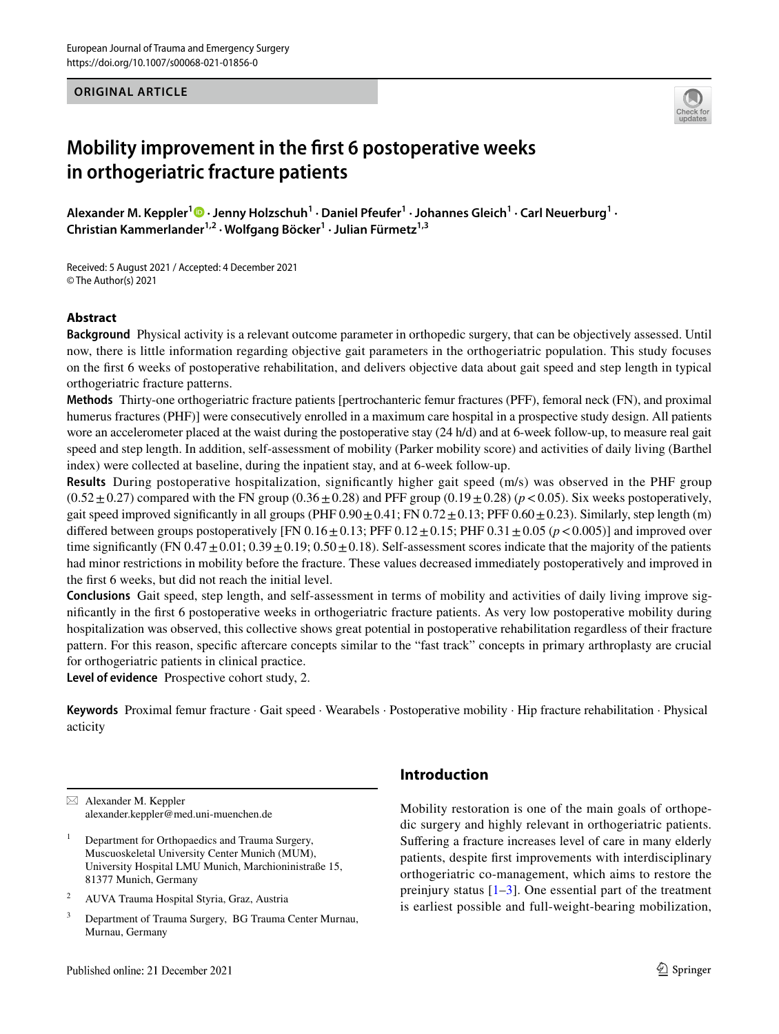**ORIGINAL ARTICLE**



# **Mobility improvement in the frst 6 postoperative weeks in orthogeriatric fracture patients**

 $A$ lexander M. Keppler<sup>[1](http://orcid.org/0000-0002-1800-5278)</sup>  $\bullet$   $\cdot$  Jenny Holzschuh<sup>1</sup>  $\cdot$  Daniel Pfeufer<sup>1</sup>  $\cdot$  Johannes Gleich<sup>1</sup>  $\cdot$  Carl Neuerburg<sup>1</sup>  $\cdot$ **Christian Kammerlander1,2 · Wolfgang Böcker1 · Julian Fürmetz1,3**

Received: 5 August 2021 / Accepted: 4 December 2021 © The Author(s) 2021

## **Abstract**

**Background** Physical activity is a relevant outcome parameter in orthopedic surgery, that can be objectively assessed. Until now, there is little information regarding objective gait parameters in the orthogeriatric population. This study focuses on the frst 6 weeks of postoperative rehabilitation, and delivers objective data about gait speed and step length in typical orthogeriatric fracture patterns.

**Methods** Thirty-one orthogeriatric fracture patients [pertrochanteric femur fractures (PFF), femoral neck (FN), and proximal humerus fractures (PHF)] were consecutively enrolled in a maximum care hospital in a prospective study design. All patients wore an accelerometer placed at the waist during the postoperative stay (24 h/d) and at 6-week follow-up, to measure real gait speed and step length. In addition, self-assessment of mobility (Parker mobility score) and activities of daily living (Barthel index) were collected at baseline, during the inpatient stay, and at 6-week follow-up.

**Results** During postoperative hospitalization, signifcantly higher gait speed (m/s) was observed in the PHF group  $(0.52 \pm 0.27)$  compared with the FN group  $(0.36 \pm 0.28)$  and PFF group  $(0.19 \pm 0.28)$  ( $p < 0.05$ ). Six weeks postoperatively, gait speed improved significantly in all groups (PHF  $0.90 \pm 0.41$ ; FN  $0.72 \pm 0.13$ ; PFF  $0.60 \pm 0.23$ ). Similarly, step length (m) differed between groups postoperatively [FN  $0.16 \pm 0.13$ ; PFF  $0.12 \pm 0.15$ ; PHF  $0.31 \pm 0.05$  (*p* < 0.005)] and improved over time significantly (FN  $0.47 \pm 0.01$ ;  $0.39 \pm 0.19$ ;  $0.50 \pm 0.18$ ). Self-assessment scores indicate that the majority of the patients had minor restrictions in mobility before the fracture. These values decreased immediately postoperatively and improved in the frst 6 weeks, but did not reach the initial level.

**Conclusions** Gait speed, step length, and self-assessment in terms of mobility and activities of daily living improve signifcantly in the frst 6 postoperative weeks in orthogeriatric fracture patients. As very low postoperative mobility during hospitalization was observed, this collective shows great potential in postoperative rehabilitation regardless of their fracture pattern. For this reason, specifc aftercare concepts similar to the "fast track" concepts in primary arthroplasty are crucial for orthogeriatric patients in clinical practice.

**Level of evidence** Prospective cohort study, 2.

**Keywords** Proximal femur fracture · Gait speed · Wearabels · Postoperative mobility · Hip fracture rehabilitation · Physical acticity

 $\boxtimes$  Alexander M. Keppler alexander.keppler@med.uni-muenchen.de

- <sup>1</sup> Department for Orthopaedics and Trauma Surgery, Muscuoskeletal University Center Munich (MUM), University Hospital LMU Munich, Marchioninistraße 15, 81377 Munich, Germany
- <sup>2</sup> AUVA Trauma Hospital Styria, Graz, Austria
- <sup>3</sup> Department of Trauma Surgery, BG Trauma Center Murnau, Murnau, Germany

# **Introduction**

Mobility restoration is one of the main goals of orthopedic surgery and highly relevant in orthogeriatric patients. Suffering a fracture increases level of care in many elderly patients, despite frst improvements with interdisciplinary orthogeriatric co-management, which aims to restore the preinjury status  $[1-3]$  $[1-3]$  $[1-3]$ . One essential part of the treatment is earliest possible and full-weight-bearing mobilization,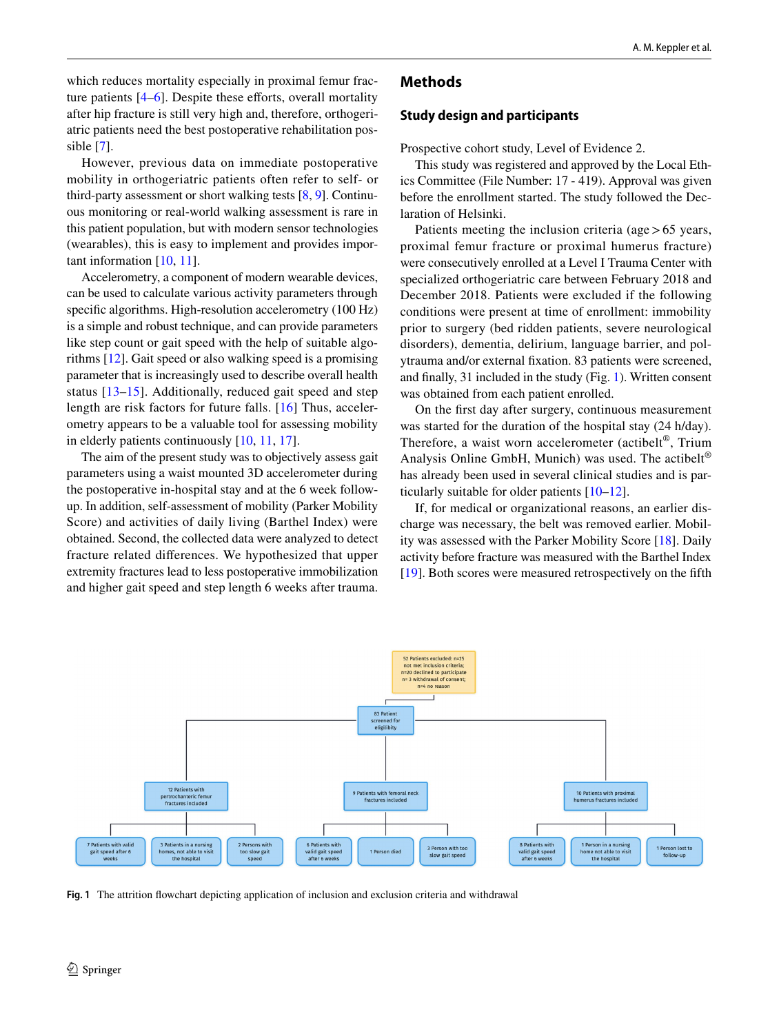which reduces mortality especially in proximal femur fracture patients  $[4-6]$  $[4-6]$ . Despite these efforts, overall mortality after hip fracture is still very high and, therefore, orthogeriatric patients need the best postoperative rehabilitation possible [[7](#page-5-4)].

However, previous data on immediate postoperative mobility in orthogeriatric patients often refer to self- or third-party assessment or short walking tests [\[8](#page-5-5), [9\]](#page-5-6). Continuous monitoring or real-world walking assessment is rare in this patient population, but with modern sensor technologies (wearables), this is easy to implement and provides important information [\[10](#page-5-7), [11](#page-5-8)].

Accelerometry, a component of modern wearable devices, can be used to calculate various activity parameters through specifc algorithms. High-resolution accelerometry (100 Hz) is a simple and robust technique, and can provide parameters like step count or gait speed with the help of suitable algorithms [\[12](#page-5-9)]. Gait speed or also walking speed is a promising parameter that is increasingly used to describe overall health status [\[13–](#page-5-10)[15](#page-5-11)]. Additionally, reduced gait speed and step length are risk factors for future falls. [[16](#page-5-12)] Thus, accelerometry appears to be a valuable tool for assessing mobility in elderly patients continuously [\[10](#page-5-7), [11,](#page-5-8) [17\]](#page-5-13).

The aim of the present study was to objectively assess gait parameters using a waist mounted 3D accelerometer during the postoperative in-hospital stay and at the 6 week followup. In addition, self-assessment of mobility (Parker Mobility Score) and activities of daily living (Barthel Index) were obtained. Second, the collected data were analyzed to detect fracture related diferences. We hypothesized that upper extremity fractures lead to less postoperative immobilization and higher gait speed and step length 6 weeks after trauma.

## **Methods**

#### **Study design and participants**

Prospective cohort study, Level of Evidence 2.

This study was registered and approved by the Local Ethics Committee (File Number: 17 - 419). Approval was given before the enrollment started. The study followed the Declaration of Helsinki.

Patients meeting the inclusion criteria (age  $> 65$  years, proximal femur fracture or proximal humerus fracture) were consecutively enrolled at a Level I Trauma Center with specialized orthogeriatric care between February 2018 and December 2018. Patients were excluded if the following conditions were present at time of enrollment: immobility prior to surgery (bed ridden patients, severe neurological disorders), dementia, delirium, language barrier, and polytrauma and/or external fxation. 83 patients were screened, and fnally, 31 included in the study (Fig. [1\)](#page-1-0). Written consent was obtained from each patient enrolled.

On the frst day after surgery, continuous measurement was started for the duration of the hospital stay (24 h/day). Therefore, a waist worn accelerometer (actibelt®, Trium Analysis Online GmbH, Munich) was used. The actibelt<sup>®</sup> has already been used in several clinical studies and is particularly suitable for older patients [[10–](#page-5-7)[12\]](#page-5-9).

If, for medical or organizational reasons, an earlier discharge was necessary, the belt was removed earlier. Mobility was assessed with the Parker Mobility Score [[18\]](#page-5-14). Daily activity before fracture was measured with the Barthel Index [\[19\]](#page-5-15). Both scores were measured retrospectively on the ffth



<span id="page-1-0"></span>**Fig. 1** The attrition fowchart depicting application of inclusion and exclusion criteria and withdrawal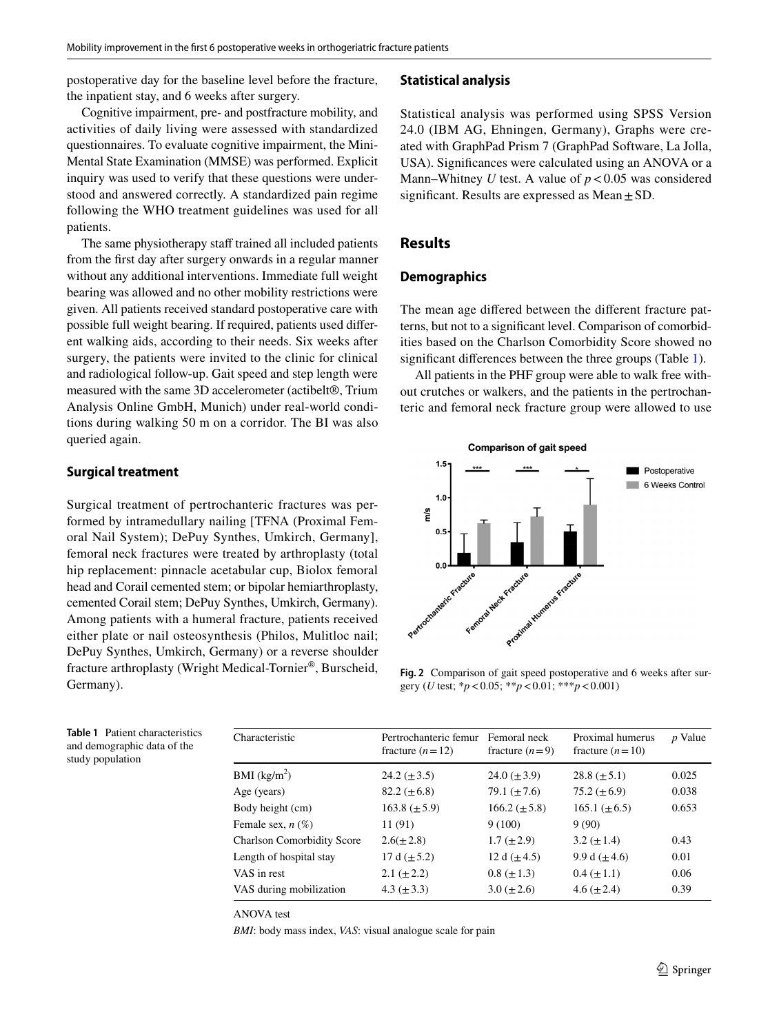postoperative day for the baseline level before the fracture, the inpatient stay, and 6 weeks after surgery.

Cognitive impairment, pre- and postfracture mobility, and activities of daily living were assessed with standardized questionnaires. To evaluate cognitive impairment, the Mini-Mental State Examination (MMSE) was performed. Explicit inquiry was used to verify that these questions were understood and answered correctly. A standardized pain regime following the WHO treatment guidelines was used for all patients.

The same physiotherapy staff trained all included patients from the frst day after surgery onwards in a regular manner without any additional interventions. Immediate full weight bearing was allowed and no other mobility restrictions were given. All patients received standard postoperative care with possible full weight bearing. If required, patients used diferent walking aids, according to their needs. Six weeks after surgery, the patients were invited to the clinic for clinical and radiological follow-up. Gait speed and step length were measured with the same 3D accelerometer (actibelt®, Trium Analysis Online GmbH, Munich) under real-world conditions during walking 50 m on a corridor. The BI was also queried again.

#### **Surgical treatment**

Surgical treatment of pertrochanteric fractures was performed by intramedullary nailing [TFNA (Proximal Femoral Nail System); DePuy Synthes, Umkirch, Germany], femoral neck fractures were treated by arthroplasty (total hip replacement: pinnacle acetabular cup, Biolox femoral head and Corail cemented stem; or bipolar hemiarthroplasty, cemented Corail stem; DePuy Synthes, Umkirch, Germany). Among patients with a humeral fracture, patients received either plate or nail osteosynthesis (Philos, Mulitloc nail; DePuy Synthes, Umkirch, Germany) or a reverse shoulder fracture arthroplasty (Wright Medical-Tornier®, Burscheid, Germany).

#### **Statistical analysis**

Statistical analysis was performed using SPSS Version 24.0 (IBM AG, Ehningen, Germany), Graphs were created with GraphPad Prism 7 (GraphPad Software, La Jolla, USA). Signifcances were calculated using an ANOVA or a Mann–Whitney *U* test. A value of  $p < 0.05$  was considered significant. Results are expressed as  $Mean \pm SD$ .

# **Results**

## **Demographics**

The mean age difered between the diferent fracture patterns, but not to a signifcant level. Comparison of comorbidities based on the Charlson Comorbidity Score showed no signifcant diferences between the three groups (Table [1](#page-2-0)).

All patients in the PHF group were able to walk free without crutches or walkers, and the patients in the pertrochanteric and femoral neck fracture group were allowed to use



<span id="page-2-1"></span>**Fig. 2** Comparison of gait speed postoperative and 6 weeks after surgery (*U* test; \**p*<0.05; \*\**p*<0.01; \*\*\**p*<0.001)

<span id="page-2-0"></span>

| <b>Table 1</b> Patient characteristics |
|----------------------------------------|
| and demographic data of the            |
| study population                       |

| Characteristic                    | Pertrochanteric femur<br>fracture $(n=12)$ | Femoral neck<br>fracture $(n=9)$ | Proximal humerus<br>fracture $(n=10)$ | <i>p</i> Value |
|-----------------------------------|--------------------------------------------|----------------------------------|---------------------------------------|----------------|
| BMI (kg/m <sup>2</sup> )          | $24.2 (\pm 3.5)$                           | $24.0 \ (\pm 3.9)$               | $28.8 \ (\pm 5.1)$                    | 0.025          |
| Age (years)                       | $82.2 (\pm 6.8)$                           | 79.1 $(\pm 7.6)$                 | 75.2 $(\pm 6.9)$                      | 0.038          |
| Body height (cm)                  | $163.8 \ (\pm 5.9)$                        | $166.2 \ (\pm 5.8)$              | $165.1 (\pm 6.5)$                     | 0.653          |
| Female sex, $n(\%)$               | 11 (91)                                    | 9(100)                           | 9(90)                                 |                |
| <b>Charlson Comorbidity Score</b> | $2.6(\pm 2.8)$                             | $1.7 (\pm 2.9)$                  | $3.2 \ (\pm 1.4)$                     | 0.43           |
| Length of hospital stay           | 17 d $(\pm 5.2)$                           | 12 d $(\pm 4.5)$                 | 9.9 d $(\pm 4.6)$                     | 0.01           |
| VAS in rest                       | 2.1 $(\pm 2.2)$                            | $0.8 (\pm 1.3)$                  | $0.4~(\pm 1.1)$                       | 0.06           |
| VAS during mobilization           | 4.3 $(\pm 3.3)$                            | $3.0 (\pm 2.6)$                  | 4.6 $(\pm 2.4)$                       | 0.39           |

ANOVA test

*BMI*: body mass index, *VAS*: visual analogue scale for pain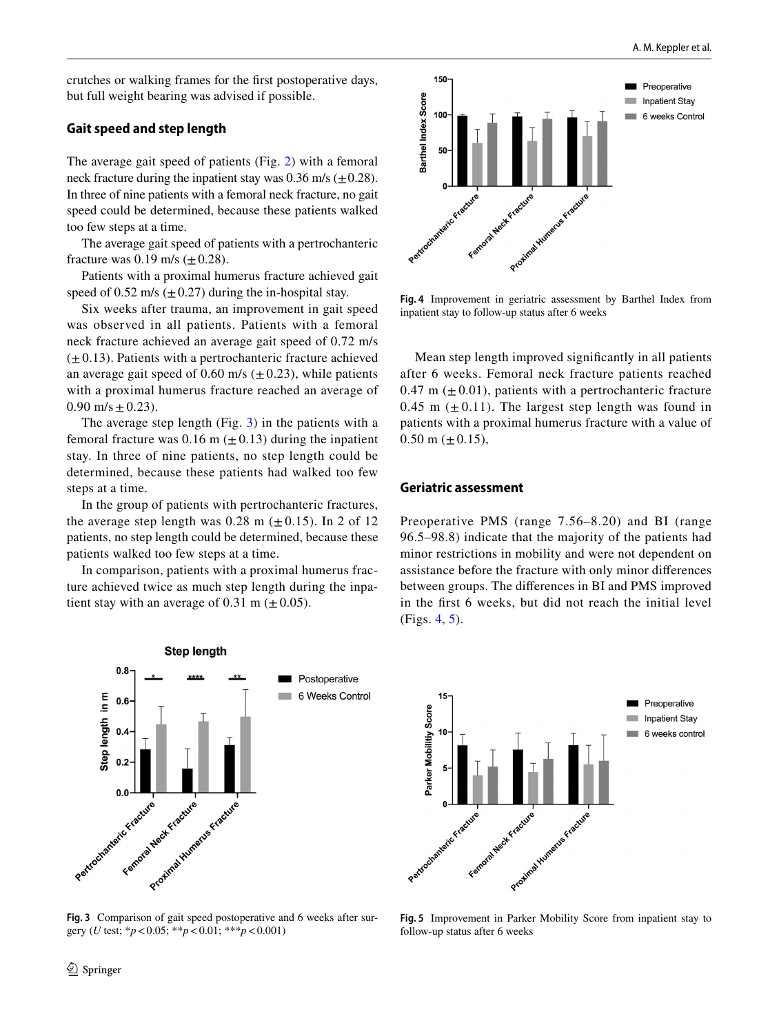crutches or walking frames for the frst postoperative days, but full weight bearing was advised if possible.

## **Gait speed and step length**

The average gait speed of patients (Fig. [2\)](#page-2-1) with a femoral neck fracture during the inpatient stay was  $0.36$  m/s ( $\pm 0.28$ ). In three of nine patients with a femoral neck fracture, no gait speed could be determined, because these patients walked too few steps at a time.

The average gait speed of patients with a pertrochanteric fracture was 0.19 m/s  $(\pm 0.28)$ .

Patients with a proximal humerus fracture achieved gait speed of 0.52 m/s ( $\pm$ 0.27) during the in-hospital stay.

Six weeks after trauma, an improvement in gait speed was observed in all patients. Patients with a femoral neck fracture achieved an average gait speed of 0.72 m/s  $(\pm 0.13)$ . Patients with a pertrochanteric fracture achieved an average gait speed of 0.60 m/s  $(\pm 0.23)$ , while patients with a proximal humerus fracture reached an average of  $0.90 \text{ m/s} \pm 0.23$ ).

The average step length (Fig. [3\)](#page-3-0) in the patients with a femoral fracture was 0.16 m  $(\pm 0.13)$  during the inpatient stay. In three of nine patients, no step length could be determined, because these patients had walked too few steps at a time.

In the group of patients with pertrochanteric fractures, the average step length was 0.28 m  $(\pm 0.15)$ . In 2 of 12 patients, no step length could be determined, because these patients walked too few steps at a time.

In comparison, patients with a proximal humerus fracture achieved twice as much step length during the inpatient stay with an average of 0.31 m  $(\pm 0.05)$ .



<span id="page-3-0"></span>**Fig. 3** Comparison of gait speed postoperative and 6 weeks after surgery (*U* test; \**p*<0.05; \*\**p*<0.01; \*\*\**p*<0.001)



<span id="page-3-1"></span>**Fig. 4** Improvement in geriatric assessment by Barthel Index from inpatient stay to follow-up status after 6 weeks

Mean step length improved signifcantly in all patients after 6 weeks. Femoral neck fracture patients reached 0.47 m  $(\pm 0.01)$ , patients with a pertrochanteric fracture 0.45 m  $(\pm 0.11)$ . The largest step length was found in patients with a proximal humerus fracture with a value of  $0.50$  m ( $\pm$  0.15),

#### **Geriatric assessment**

Preoperative PMS (range 7.56–8.20) and BI (range 96.5–98.8) indicate that the majority of the patients had minor restrictions in mobility and were not dependent on assistance before the fracture with only minor diferences between groups. The diferences in BI and PMS improved in the frst 6 weeks, but did not reach the initial level (Figs. [4](#page-3-1), [5](#page-3-2)).



<span id="page-3-2"></span>**Fig. 5** Improvement in Parker Mobility Score from inpatient stay to follow-up status after 6 weeks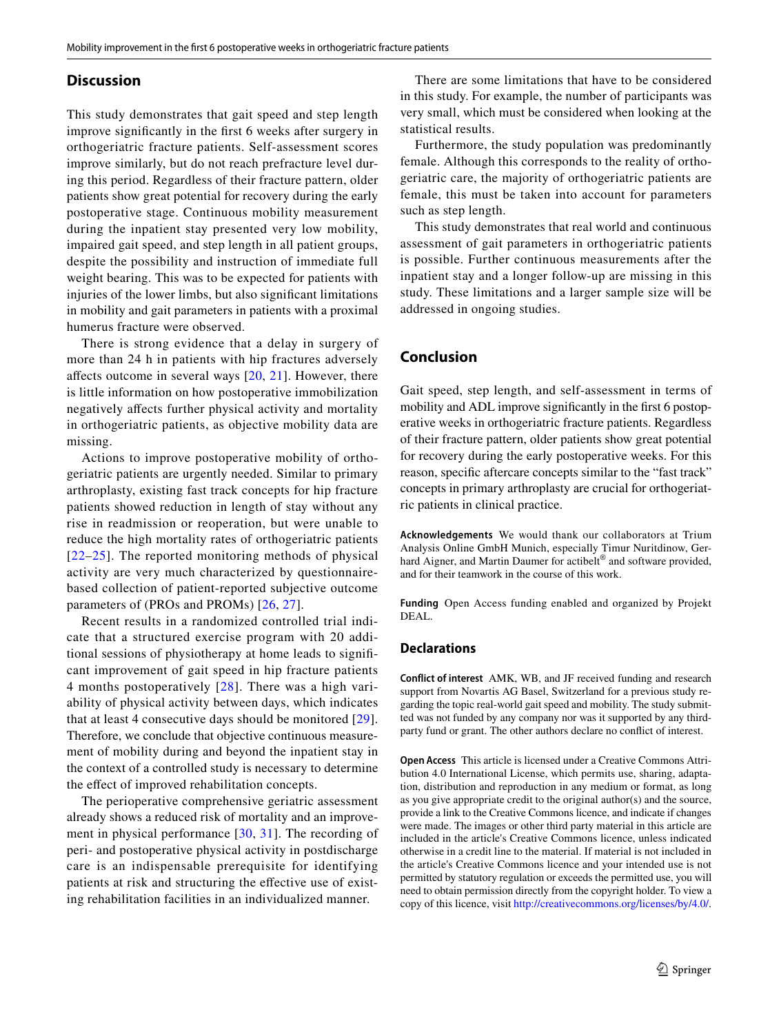#### **Discussion**

This study demonstrates that gait speed and step length improve signifcantly in the frst 6 weeks after surgery in orthogeriatric fracture patients. Self-assessment scores improve similarly, but do not reach prefracture level during this period. Regardless of their fracture pattern, older patients show great potential for recovery during the early postoperative stage. Continuous mobility measurement during the inpatient stay presented very low mobility, impaired gait speed, and step length in all patient groups, despite the possibility and instruction of immediate full weight bearing. This was to be expected for patients with injuries of the lower limbs, but also signifcant limitations in mobility and gait parameters in patients with a proximal humerus fracture were observed.

There is strong evidence that a delay in surgery of more than 24 h in patients with hip fractures adversely afects outcome in several ways [\[20,](#page-5-16) [21\]](#page-5-17). However, there is little information on how postoperative immobilization negatively afects further physical activity and mortality in orthogeriatric patients, as objective mobility data are missing.

Actions to improve postoperative mobility of orthogeriatric patients are urgently needed. Similar to primary arthroplasty, existing fast track concepts for hip fracture patients showed reduction in length of stay without any rise in readmission or reoperation, but were unable to reduce the high mortality rates of orthogeriatric patients [[22](#page-5-18)–[25](#page-5-19)]. The reported monitoring methods of physical activity are very much characterized by questionnairebased collection of patient-reported subjective outcome parameters of (PROs and PROMs) [[26,](#page-5-20) [27\]](#page-5-21).

Recent results in a randomized controlled trial indicate that a structured exercise program with 20 additional sessions of physiotherapy at home leads to signifcant improvement of gait speed in hip fracture patients 4 months postoperatively [[28](#page-5-22)]. There was a high variability of physical activity between days, which indicates that at least 4 consecutive days should be monitored [[29](#page-5-23)]. Therefore, we conclude that objective continuous measurement of mobility during and beyond the inpatient stay in the context of a controlled study is necessary to determine the efect of improved rehabilitation concepts.

The perioperative comprehensive geriatric assessment already shows a reduced risk of mortality and an improvement in physical performance [[30](#page-5-24), [31](#page-5-25)]. The recording of peri- and postoperative physical activity in postdischarge care is an indispensable prerequisite for identifying patients at risk and structuring the efective use of existing rehabilitation facilities in an individualized manner.

There are some limitations that have to be considered in this study. For example, the number of participants was very small, which must be considered when looking at the statistical results.

Furthermore, the study population was predominantly female. Although this corresponds to the reality of orthogeriatric care, the majority of orthogeriatric patients are female, this must be taken into account for parameters such as step length.

This study demonstrates that real world and continuous assessment of gait parameters in orthogeriatric patients is possible. Further continuous measurements after the inpatient stay and a longer follow-up are missing in this study. These limitations and a larger sample size will be addressed in ongoing studies.

# **Conclusion**

Gait speed, step length, and self-assessment in terms of mobility and ADL improve signifcantly in the frst 6 postoperative weeks in orthogeriatric fracture patients. Regardless of their fracture pattern, older patients show great potential for recovery during the early postoperative weeks. For this reason, specifc aftercare concepts similar to the "fast track" concepts in primary arthroplasty are crucial for orthogeriatric patients in clinical practice.

**Acknowledgements** We would thank our collaborators at Trium Analysis Online GmbH Munich, especially Timur Nuritdinow, Gerhard Aigner, and Martin Daumer for actibelt<sup>®</sup> and software provided, and for their teamwork in the course of this work.

**Funding** Open Access funding enabled and organized by Projekt DEAL.

## **Declarations**

**Conflict of interest** AMK, WB, and JF received funding and research support from Novartis AG Basel, Switzerland for a previous study regarding the topic real-world gait speed and mobility. The study submitted was not funded by any company nor was it supported by any thirdparty fund or grant. The other authors declare no confict of interest.

**Open Access** This article is licensed under a Creative Commons Attribution 4.0 International License, which permits use, sharing, adaptation, distribution and reproduction in any medium or format, as long as you give appropriate credit to the original author(s) and the source, provide a link to the Creative Commons licence, and indicate if changes were made. The images or other third party material in this article are included in the article's Creative Commons licence, unless indicated otherwise in a credit line to the material. If material is not included in the article's Creative Commons licence and your intended use is not permitted by statutory regulation or exceeds the permitted use, you will need to obtain permission directly from the copyright holder. To view a copy of this licence, visit<http://creativecommons.org/licenses/by/4.0/>.